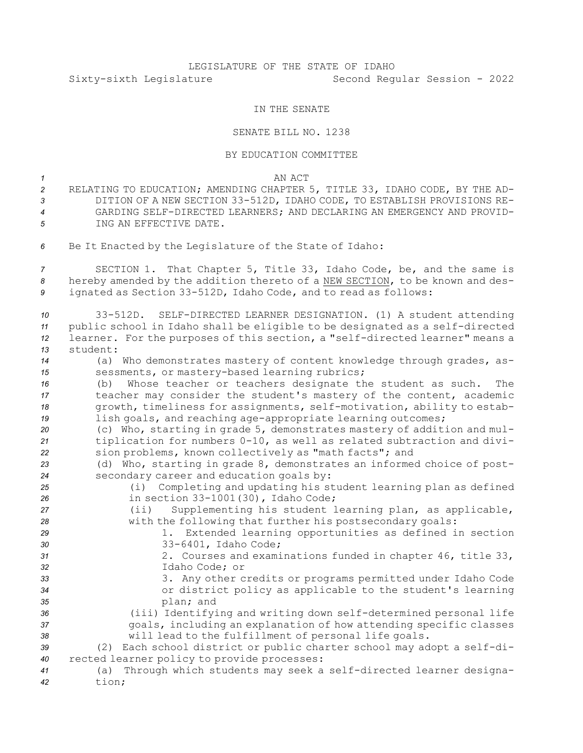## LEGISLATURE OF THE STATE OF IDAHO Sixty-sixth Legislature Second Regular Session - 2022

## IN THE SENATE

## SENATE BILL NO. 1238

## BY EDUCATION COMMITTEE

*1* AN ACT

- *<sup>2</sup>* RELATING TO EDUCATION; AMENDING CHAPTER 5, TITLE 33, IDAHO CODE, BY THE AD-*<sup>3</sup>* DITION OF A NEW SECTION 33-512D, IDAHO CODE, TO ESTABLISH PROVISIONS RE-*4* GARDING SELF-DIRECTED LEARNERS; AND DECLARING AN EMERGENCY AND PROVID-*5* ING AN EFFECTIVE DATE.
- *<sup>6</sup>* Be It Enacted by the Legislature of the State of Idaho:

*<sup>7</sup>* SECTION 1. That Chapter 5, Title 33, Idaho Code, be, and the same is *<sup>8</sup>* hereby amended by the addition thereto of <sup>a</sup> NEW SECTION, to be known and des-*<sup>9</sup>* ignated as Section 33-512D, Idaho Code, and to read as follows:

| 10<br>11<br>12 | 33-512D. SELF-DIRECTED LEARNER DESIGNATION. (1) A student attending<br>public school in Idaho shall be eligible to be designated as a self-directed<br>learner. For the purposes of this section, a "self-directed learner" means a |
|----------------|-------------------------------------------------------------------------------------------------------------------------------------------------------------------------------------------------------------------------------------|
| 13             | student:                                                                                                                                                                                                                            |
| 14             | (a) Who demonstrates mastery of content knowledge through grades, as-                                                                                                                                                               |
| 15             | sessments, or mastery-based learning rubrics;                                                                                                                                                                                       |
| 16             | Whose teacher or teachers designate the student as such.<br>The<br>(b)                                                                                                                                                              |
| 17             | teacher may consider the student's mastery of the content, academic                                                                                                                                                                 |
| 18             | growth, timeliness for assignments, self-motivation, ability to estab-                                                                                                                                                              |
| 19             | lish goals, and reaching age-appropriate learning outcomes;                                                                                                                                                                         |
| 20             | (c) Who, starting in grade 5, demonstrates mastery of addition and mul-                                                                                                                                                             |
| 21             | tiplication for numbers 0-10, as well as related subtraction and divi-                                                                                                                                                              |
| 22             | sion problems, known collectively as "math facts"; and                                                                                                                                                                              |
| 23             | (d) Who, starting in grade 8, demonstrates an informed choice of post-                                                                                                                                                              |
| 24             | secondary career and education goals by:                                                                                                                                                                                            |
| 25             | (i) Completing and updating his student learning plan as defined                                                                                                                                                                    |
| 26             | in section $33-1001(30)$ , Idaho Code;                                                                                                                                                                                              |
| 27             | Supplementing his student learning plan, as applicable,<br>$(i$ i)                                                                                                                                                                  |
| 28             | with the following that further his postsecondary goals:                                                                                                                                                                            |
| 29             | Extended learning opportunities as defined in section<br>1.                                                                                                                                                                         |
| 30             | 33-6401, Idaho Code;                                                                                                                                                                                                                |
| 31<br>32       | 2. Courses and examinations funded in chapter 46, title 33,<br>Idaho Code; or                                                                                                                                                       |
| 33             | 3. Any other credits or programs permitted under Idaho Code                                                                                                                                                                         |
| 34             | or district policy as applicable to the student's learning                                                                                                                                                                          |
| 35             | plan; and                                                                                                                                                                                                                           |
| 36             | (iii) Identifying and writing down self-determined personal life                                                                                                                                                                    |
| 37             | goals, including an explanation of how attending specific classes                                                                                                                                                                   |
| 38             | will lead to the fulfillment of personal life goals.                                                                                                                                                                                |
| 39             | (2) Each school district or public charter school may adopt a self-di-                                                                                                                                                              |
| 40             | rected learner policy to provide processes:                                                                                                                                                                                         |
| 41             | Through which students may seek a self-directed learner designa-<br>(a)                                                                                                                                                             |
| 42             | tion;                                                                                                                                                                                                                               |
|                |                                                                                                                                                                                                                                     |